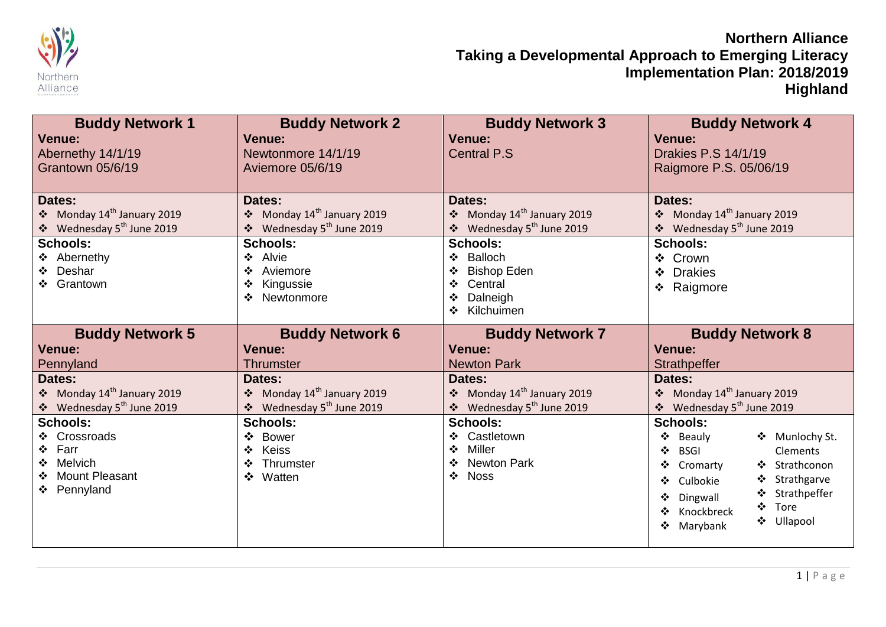

| <b>Buddy Network 1</b><br><b>Venue:</b><br>Abernethy 14/1/19<br>Grantown 05/6/19                     | <b>Buddy Network 2</b><br><b>Venue:</b><br>Newtonmore 14/1/19<br>Aviemore 05/6/19                              | <b>Buddy Network 3</b><br><b>Venue:</b><br><b>Central P.S</b>                                                                             | <b>Buddy Network 4</b><br><b>Venue:</b><br>Drakies P.S 14/1/19<br>Raigmore P.S. 05/06/19                                                                                                                                                |
|------------------------------------------------------------------------------------------------------|----------------------------------------------------------------------------------------------------------------|-------------------------------------------------------------------------------------------------------------------------------------------|-----------------------------------------------------------------------------------------------------------------------------------------------------------------------------------------------------------------------------------------|
| Dates:<br>❖ Monday 14 <sup>th</sup> January 2019                                                     | Dates:<br>$\div$ Monday 14 <sup>th</sup> January 2019                                                          | Dates:<br>❖ Monday 14 <sup>th</sup> January 2019                                                                                          | Dates:<br>❖ Monday $14^{\text{th}}$ January 2019                                                                                                                                                                                        |
| ❖ Wednesday 5 <sup>th</sup> June 2019<br><b>Schools:</b>                                             | Wednesday 5 <sup>th</sup> June 2019<br><b>Schools:</b>                                                         | Wednesday 5 <sup>th</sup> June 2019<br>$\bullet^{\bullet}_{\Phi}$<br><b>Schools:</b>                                                      | ❖ Wednesday 5 <sup>th</sup> June 2019<br><b>Schools:</b>                                                                                                                                                                                |
| ❖ Abernethy<br>❖ Deshar<br>❖ Grantown                                                                | Alvie<br>❖<br>Aviemore<br>❖<br>Kingussie<br>❖<br>Newtonmore<br>❖                                               | <b>Balloch</b><br>❖<br><b>Bishop Eden</b><br>Central<br>Dalneigh<br>Kilchuimen<br>❖                                                       | ❖ Crown<br><b>Drakies</b><br>$\mathbf{A}$<br>❖ Raigmore                                                                                                                                                                                 |
| <b>Buddy Network 5</b>                                                                               | <b>Buddy Network 6</b>                                                                                         | <b>Buddy Network 7</b>                                                                                                                    | <b>Buddy Network 8</b>                                                                                                                                                                                                                  |
| <b>Venue:</b>                                                                                        | <b>Venue:</b>                                                                                                  | <b>Venue:</b>                                                                                                                             | <b>Venue:</b>                                                                                                                                                                                                                           |
| Pennyland<br>Dates:<br>Monday 14 <sup>th</sup> January 2019<br>❖ Wednesday 5 <sup>th</sup> June 2019 | <b>Thrumster</b><br>Dates:<br>Monday 14 <sup>th</sup> January 2019<br>Wednesday 5 <sup>th</sup> June 2019<br>❖ | <b>Newton Park</b><br>Dates:<br>Monday 14 <sup>th</sup> January 2019<br>Wednesday 5 <sup>th</sup> June 2019<br>$\bullet^{\bullet}_{\Phi}$ | <b>Strathpeffer</b><br>Dates:<br>❖ Monday 14 <sup>th</sup> January 2019<br>❖ Wednesday 5 <sup>th</sup> June 2019                                                                                                                        |
| <b>Schools:</b><br>❖ Crossroads<br>❖ Farr<br>Melvich<br>❖<br>❖ Mount Pleasant<br>❖ Pennyland         | <b>Schools:</b><br><b>Bower</b><br>❖<br>Keiss<br>❖<br>Thrumster<br>❖<br>Watten<br>$\mathbf{r}$                 | <b>Schools:</b><br>Castletown<br>Miller<br>❖<br><b>Newton Park</b><br><b>Noss</b><br>$\cdot$                                              | <b>Schools:</b><br>❖ Munlochy St.<br>❖<br>Beauly<br>❖<br>Clements<br><b>BSGI</b><br>❖ Strathconon<br>❖<br>Cromarty<br>❖ Strathgarve<br>Culbokie<br>❖ Strathpeffer<br>Dingwall<br>❖<br>Tore<br>Knockbreck<br>❖ Ullapool<br>Marybank<br>❖ |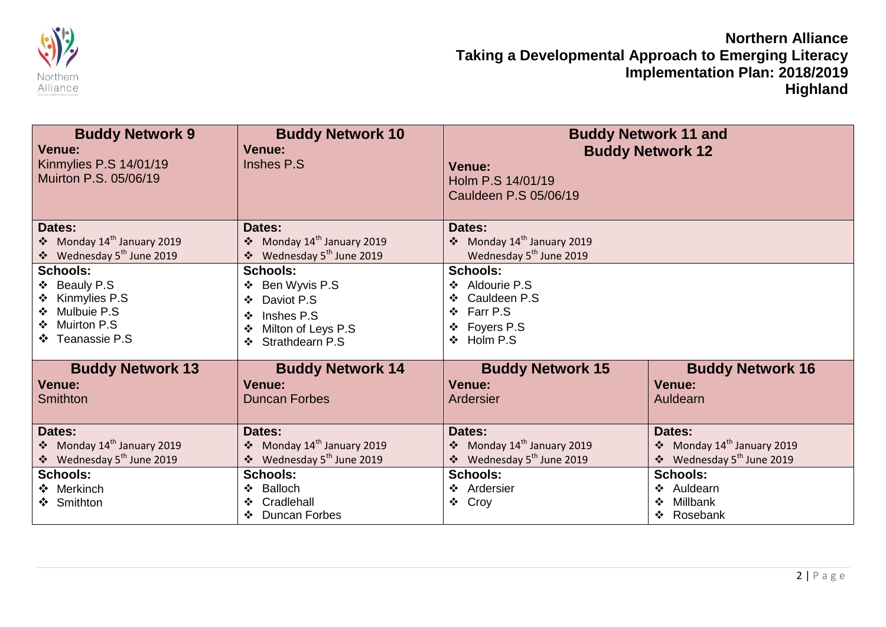

| <b>Buddy Network 9</b><br>Venue:<br>Kinmylies P.S 14/01/19<br>Muirton P.S. 05/06/19                               | <b>Buddy Network 10</b><br><b>Venue:</b><br>Inshes P.S.                                                                     | <b>Venue:</b><br>Holm P.S 14/01/19<br>Cauldeen P.S 05/06/19                                        | <b>Buddy Network 11 and</b><br><b>Buddy Network 12</b>                                    |
|-------------------------------------------------------------------------------------------------------------------|-----------------------------------------------------------------------------------------------------------------------------|----------------------------------------------------------------------------------------------------|-------------------------------------------------------------------------------------------|
| Dates:<br>❖ Monday 14 <sup>th</sup> January 2019<br>❖ Wednesday 5 <sup>th</sup> June 2019                         | Dates:<br>❖ Monday 14 <sup>th</sup> January 2019<br>❖ Wednesday 5 <sup>th</sup> June 2019                                   | Dates:<br>❖ Monday 14 <sup>th</sup> January 2019<br>Wednesday 5 <sup>th</sup> June 2019            |                                                                                           |
| <b>Schools:</b><br>❖ Beauly P.S<br>Kinmylies P.S<br>Mulbuie P.S<br>$\cdot$<br>Muirton P.S<br>❖<br>❖ Teanassie P.S | <b>Schools:</b><br>Ben Wyvis P.S<br>Daviot P.S.<br>❖<br>Inshes P.S.<br>❖<br>Milton of Leys P.S<br>❖<br>Strathdearn P.S<br>❖ | <b>Schools:</b><br>❖ Aldourie P.S<br>❖ Cauldeen P.S<br>❖ Farr P.S<br>Foyers P.S<br>❖<br>❖ Holm P.S |                                                                                           |
| <b>Buddy Network 13</b><br><b>Venue:</b>                                                                          | <b>Buddy Network 14</b><br><b>Venue:</b>                                                                                    | <b>Buddy Network 15</b><br><b>Venue:</b>                                                           | <b>Buddy Network 16</b><br><b>Venue:</b>                                                  |
| Smithton                                                                                                          | <b>Duncan Forbes</b>                                                                                                        | Ardersier                                                                                          | Auldearn                                                                                  |
| Dates:<br>Monday 14 <sup>th</sup> January 2019<br>❖ Wednesday 5 <sup>th</sup> June 2019                           | Dates:<br>Monday 14 <sup>th</sup> January 2019<br>Wednesday 5 <sup>th</sup> June 2019<br>$\frac{1}{2}$                      | Dates:<br>• Monday $14^{th}$ January 2019<br>❖ Wednesday 5 <sup>th</sup> June 2019                 | Dates:<br>• Monday $14^{\text{th}}$ January 2019<br>❖ Wednesday 5 <sup>th</sup> June 2019 |
| <b>Schools:</b><br>❖ Merkinch<br>❖ Smithton                                                                       | <b>Schools:</b><br><b>Balloch</b><br>❖<br>Cradlehall<br>❖<br><b>Duncan Forbes</b><br>❖                                      | <b>Schools:</b><br>❖ Ardersier<br>❖ Croy                                                           | <b>Schools:</b><br>Auldearn<br>Millbank<br>$\mathbf{A}$<br>❖ Rosebank                     |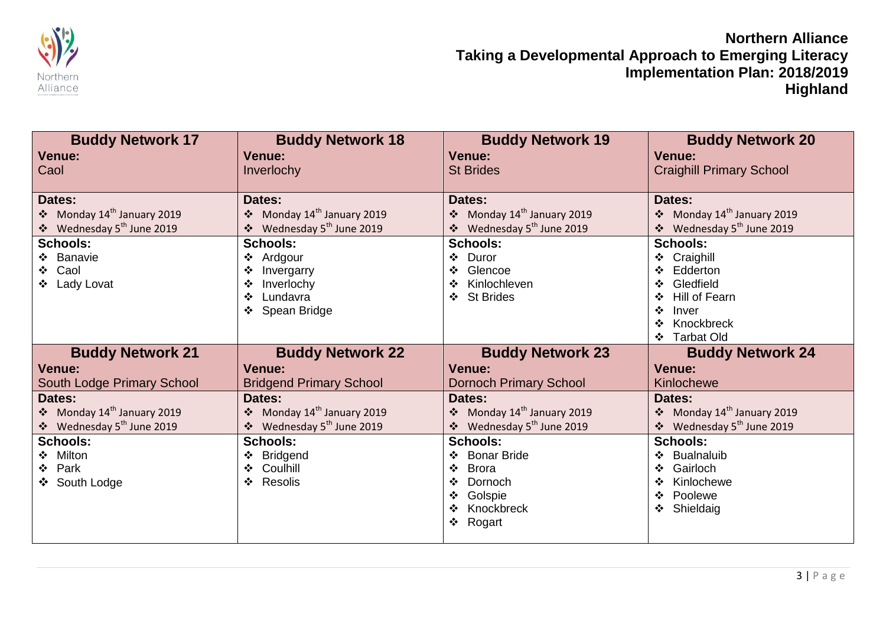

| <b>Buddy Network 17</b>                | <b>Buddy Network 18</b>             | <b>Buddy Network 19</b>                | <b>Buddy Network 20</b>                |
|----------------------------------------|-------------------------------------|----------------------------------------|----------------------------------------|
| <b>Venue:</b>                          | <b>Venue:</b>                       | <b>Venue:</b>                          | <b>Venue:</b>                          |
| Caol                                   | Inverlochy                          | <b>St Brides</b>                       | <b>Craighill Primary School</b>        |
|                                        |                                     |                                        |                                        |
| Dates:                                 | Dates:                              | Dates:                                 | Dates:                                 |
| ❖ Monday $14th$ January 2019           | ❖ Monday $14^{th}$ January 2019     | ❖ Monday 14 <sup>th</sup> January 2019 | • Monday $14^{th}$ January 2019        |
| ❖ Wednesday 5 <sup>th</sup> June 2019  | Wednesday 5 <sup>th</sup> June 2019 | ❖ Wednesday 5 <sup>th</sup> June 2019  | ❖ Wednesday 5 <sup>th</sup> June 2019  |
| <b>Schools:</b>                        | <b>Schools:</b>                     | <b>Schools:</b>                        | <b>Schools:</b>                        |
| ❖ Banavie                              | Ardgour<br>❖                        | ❖ Duror                                | ❖ Craighill                            |
| ❖ Caol                                 | Invergarry                          | Glencoe<br>❖                           | Edderton                               |
| ❖ Lady Lovat                           | Inverlochy<br>❖                     | Kinlochleven<br>❖                      | Gledfield<br>$\mathbf{A}$              |
|                                        | Lundavra<br>❖                       | <b>St Brides</b><br>❖                  | <b>Hill of Fearn</b>                   |
|                                        | Spean Bridge<br>❖                   |                                        | Inver<br>❖                             |
|                                        |                                     |                                        | Knockbreck<br>❖                        |
|                                        |                                     |                                        | ❖ Tarbat Old                           |
|                                        |                                     |                                        |                                        |
| <b>Buddy Network 21</b>                | <b>Buddy Network 22</b>             | <b>Buddy Network 23</b>                | <b>Buddy Network 24</b>                |
| <b>Venue:</b>                          | <b>Venue:</b>                       | <b>Venue:</b>                          | <b>Venue:</b>                          |
| South Lodge Primary School             | <b>Bridgend Primary School</b>      | <b>Dornoch Primary School</b>          | Kinlochewe                             |
| Dates:                                 | Dates:                              | Dates:                                 | Dates:                                 |
| • Monday $14^{\text{th}}$ January 2019 | ❖ Monday $14^{th}$ January 2019     | ❖ Monday $14th$ January 2019           | • Monday $14^{\text{th}}$ January 2019 |
| ❖ Wednesday 5 <sup>th</sup> June 2019  | Wednesday 5 <sup>th</sup> June 2019 | ❖ Wednesday 5 <sup>th</sup> June 2019  | ❖ Wednesday 5 <sup>th</sup> June 2019  |
| <b>Schools:</b>                        | <b>Schools:</b>                     | <b>Schools:</b>                        | <b>Schools:</b>                        |
| Milton<br>❖                            | <b>Bridgend</b>                     | <b>Bonar Bride</b><br>❖                | <b>Bualnaluib</b>                      |
| ❖ Park                                 | Coulhill<br>❖                       | <b>Brora</b><br>❖                      | Gairloch<br>❖                          |
| ❖ South Lodge                          | Resolis<br>❖                        | Dornoch<br>❖                           | Kinlochewe                             |
|                                        |                                     | Golspie<br>❖                           | Poolewe<br>$\ddot{\mathbf{v}}$         |
|                                        |                                     | Knockbreck<br>❖                        | Shieldaig<br>❖                         |
|                                        |                                     | ❖ Rogart                               |                                        |